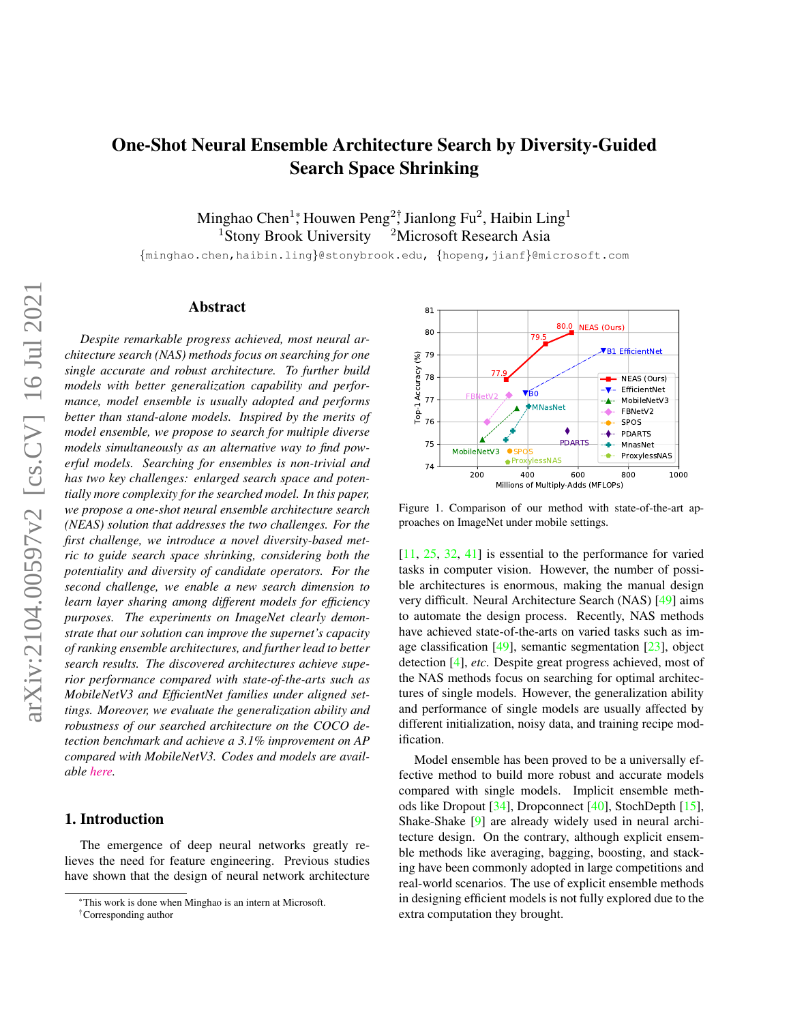# One-Shot Neural Ensemble Architecture Search by Diversity-Guided Search Space Shrinking

Minghao Chen $^{1*}$ , Houwen Peng $^{2\dagger}$ , Jianlong Fu $^{2}$ , Haibin Ling $^{1}$ <sup>1</sup>Stony Brook University  $2M$ icrosoft Research Asia

{minghao.chen,haibin.ling}@stonybrook.edu, {hopeng,jianf}@microsoft.com

## Abstract

*Despite remarkable progress achieved, most neural architecture search (NAS) methods focus on searching for one single accurate and robust architecture. To further build models with better generalization capability and performance, model ensemble is usually adopted and performs better than stand-alone models. Inspired by the merits of model ensemble, we propose to search for multiple diverse models simultaneously as an alternative way to find powerful models. Searching for ensembles is non-trivial and has two key challenges: enlarged search space and potentially more complexity for the searched model. In this paper, we propose a one-shot neural ensemble architecture search (NEAS) solution that addresses the two challenges. For the first challenge, we introduce a novel diversity-based metric to guide search space shrinking, considering both the potentiality and diversity of candidate operators. For the second challenge, we enable a new search dimension to learn layer sharing among different models for efficiency purposes. The experiments on ImageNet clearly demonstrate that our solution can improve the supernet's capacity of ranking ensemble architectures, and further lead to better search results. The discovered architectures achieve superior performance compared with state-of-the-arts such as MobileNetV3 and EfficientNet families under aligned settings. Moreover, we evaluate the generalization ability and robustness of our searched architecture on the COCO detection benchmark and achieve a 3.1% improvement on AP compared with MobileNetV3. Codes and models are available [here.](https://github.com/researchmm/NEAS)*

# 1. Introduction

The emergence of deep neural networks greatly relieves the need for feature engineering. Previous studies have shown that the design of neural network architecture

81 80.0 **NEAS (Ours)** 80 79.5 B1 EfficientNet  $\widehat{\mathcal{S}}$  79 Top-1 Accuracy (%) Top-1 Accuracy 78 77.9 - NEAS (Ours) -V- EfficientNet  $\blacktriangledown_{\mathsf{B}0}$ 77 FBNetV2 ÷. MobileNetV3 MNasNet FBNetV2 76 SPOS  $\bullet$ PDARTS -6 PDA 75 MnasNet MobileNetV3 SPOS ÷ ProxylessNAS ProxylessNAS 74 200 400 600 800 1000 Millions of Multiply-Adds (MFLOPs)

<span id="page-0-0"></span>Figure 1. Comparison of our method with state-of-the-art approaches on ImageNet under mobile settings.

[\[11,](#page-8-0) [25,](#page-8-1) [32,](#page-8-2) [41\]](#page-9-0) is essential to the performance for varied tasks in computer vision. However, the number of possible architectures is enormous, making the manual design very difficult. Neural Architecture Search (NAS) [\[49\]](#page-9-1) aims to automate the design process. Recently, NAS methods have achieved state-of-the-arts on varied tasks such as image classification [\[49\]](#page-9-1), semantic segmentation [\[23\]](#page-8-3), object detection [\[4\]](#page-8-4), *etc*. Despite great progress achieved, most of the NAS methods focus on searching for optimal architectures of single models. However, the generalization ability and performance of single models are usually affected by different initialization, noisy data, and training recipe modification.

Model ensemble has been proved to be a universally effective method to build more robust and accurate models compared with single models. Implicit ensemble methods like Dropout [\[34\]](#page-8-5), Dropconnect [\[40\]](#page-9-2), StochDepth [\[15\]](#page-8-6), Shake-Shake [\[9\]](#page-8-7) are already widely used in neural architecture design. On the contrary, although explicit ensemble methods like averaging, bagging, boosting, and stacking have been commonly adopted in large competitions and real-world scenarios. The use of explicit ensemble methods in designing efficient models is not fully explored due to the extra computation they brought.

<sup>\*</sup>This work is done when Minghao is an intern at Microsoft.

<sup>†</sup>Corresponding author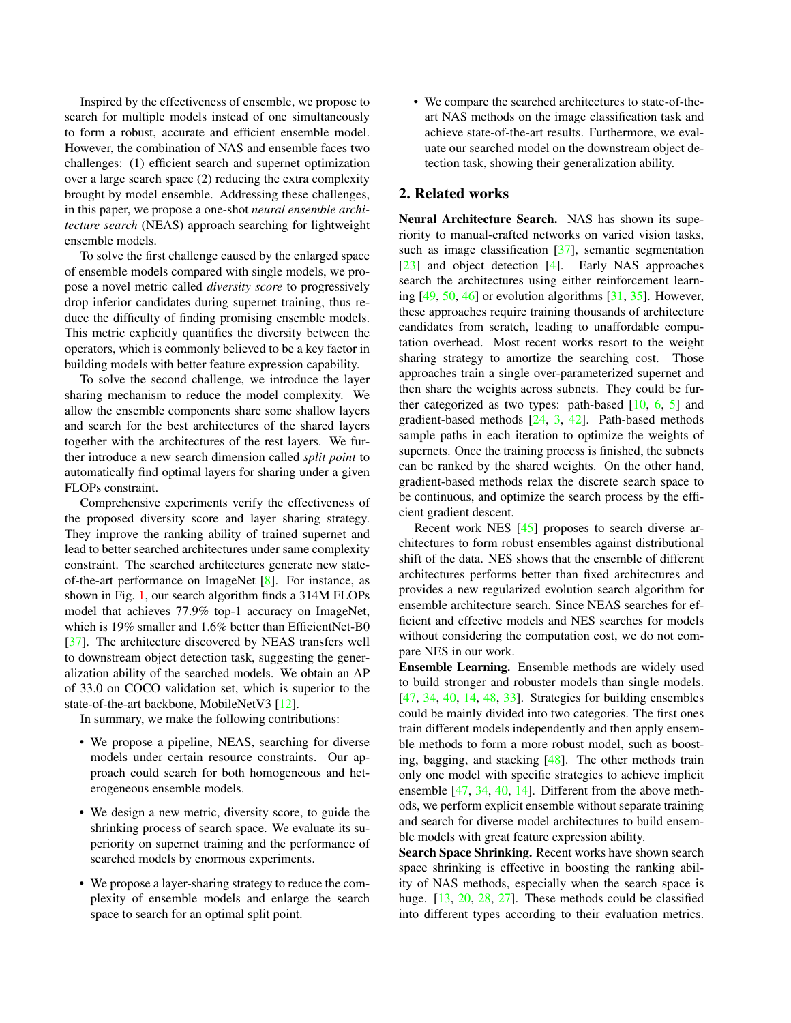Inspired by the effectiveness of ensemble, we propose to search for multiple models instead of one simultaneously to form a robust, accurate and efficient ensemble model. However, the combination of NAS and ensemble faces two challenges: (1) efficient search and supernet optimization over a large search space (2) reducing the extra complexity brought by model ensemble. Addressing these challenges, in this paper, we propose a one-shot *neural ensemble architecture search* (NEAS) approach searching for lightweight ensemble models.

To solve the first challenge caused by the enlarged space of ensemble models compared with single models, we propose a novel metric called *diversity score* to progressively drop inferior candidates during supernet training, thus reduce the difficulty of finding promising ensemble models. This metric explicitly quantifies the diversity between the operators, which is commonly believed to be a key factor in building models with better feature expression capability.

To solve the second challenge, we introduce the layer sharing mechanism to reduce the model complexity. We allow the ensemble components share some shallow layers and search for the best architectures of the shared layers together with the architectures of the rest layers. We further introduce a new search dimension called *split point* to automatically find optimal layers for sharing under a given FLOPs constraint.

Comprehensive experiments verify the effectiveness of the proposed diversity score and layer sharing strategy. They improve the ranking ability of trained supernet and lead to better searched architectures under same complexity constraint. The searched architectures generate new stateof-the-art performance on ImageNet [\[8\]](#page-8-8). For instance, as shown in Fig. [1,](#page-0-0) our search algorithm finds a 314M FLOPs model that achieves 77.9% top-1 accuracy on ImageNet, which is 19% smaller and 1.6% better than EfficientNet-B0 [\[37\]](#page-9-3). The architecture discovered by NEAS transfers well to downstream object detection task, suggesting the generalization ability of the searched models. We obtain an AP of 33.0 on COCO validation set, which is superior to the state-of-the-art backbone, MobileNetV3 [\[12\]](#page-8-9).

In summary, we make the following contributions:

- We propose a pipeline, NEAS, searching for diverse models under certain resource constraints. Our approach could search for both homogeneous and heterogeneous ensemble models.
- We design a new metric, diversity score, to guide the shrinking process of search space. We evaluate its superiority on supernet training and the performance of searched models by enormous experiments.
- We propose a layer-sharing strategy to reduce the complexity of ensemble models and enlarge the search space to search for an optimal split point.

• We compare the searched architectures to state-of-theart NAS methods on the image classification task and achieve state-of-the-art results. Furthermore, we evaluate our searched model on the downstream object detection task, showing their generalization ability.

## 2. Related works

Neural Architecture Search. NAS has shown its superiority to manual-crafted networks on varied vision tasks, such as image classification [\[37\]](#page-9-3), semantic segmentation [\[23\]](#page-8-3) and object detection [\[4\]](#page-8-4). Early NAS approaches search the architectures using either reinforcement learning  $[49, 50, 46]$  $[49, 50, 46]$  $[49, 50, 46]$  $[49, 50, 46]$  $[49, 50, 46]$  or evolution algorithms  $[31, 35]$  $[31, 35]$  $[31, 35]$ . However, these approaches require training thousands of architecture candidates from scratch, leading to unaffordable computation overhead. Most recent works resort to the weight sharing strategy to amortize the searching cost. Those approaches train a single over-parameterized supernet and then share the weights across subnets. They could be further categorized as two types: path-based  $[10, 6, 5]$  $[10, 6, 5]$  $[10, 6, 5]$  $[10, 6, 5]$  $[10, 6, 5]$  and gradient-based methods [\[24,](#page-8-14) [3,](#page-8-15) [42\]](#page-9-7). Path-based methods sample paths in each iteration to optimize the weights of supernets. Once the training process is finished, the subnets can be ranked by the shared weights. On the other hand, gradient-based methods relax the discrete search space to be continuous, and optimize the search process by the efficient gradient descent.

Recent work NES [\[45\]](#page-9-8) proposes to search diverse architectures to form robust ensembles against distributional shift of the data. NES shows that the ensemble of different architectures performs better than fixed architectures and provides a new regularized evolution search algorithm for ensemble architecture search. Since NEAS searches for efficient and effective models and NES searches for models without considering the computation cost, we do not compare NES in our work.

Ensemble Learning. Ensemble methods are widely used to build stronger and robuster models than single models. [\[47,](#page-9-9) [34,](#page-8-5) [40,](#page-9-2) [14,](#page-8-16) [48,](#page-9-10) [33\]](#page-8-17). Strategies for building ensembles could be mainly divided into two categories. The first ones train different models independently and then apply ensemble methods to form a more robust model, such as boosting, bagging, and stacking [\[48\]](#page-9-10). The other methods train only one model with specific strategies to achieve implicit ensemble [\[47,](#page-9-9) [34,](#page-8-5) [40,](#page-9-2) [14\]](#page-8-16). Different from the above methods, we perform explicit ensemble without separate training and search for diverse model architectures to build ensemble models with great feature expression ability.

Search Space Shrinking. Recent works have shown search space shrinking is effective in boosting the ranking ability of NAS methods, especially when the search space is huge. [\[13,](#page-8-18) [20,](#page-8-19) [28,](#page-8-20) [27\]](#page-8-21). These methods could be classified into different types according to their evaluation metrics.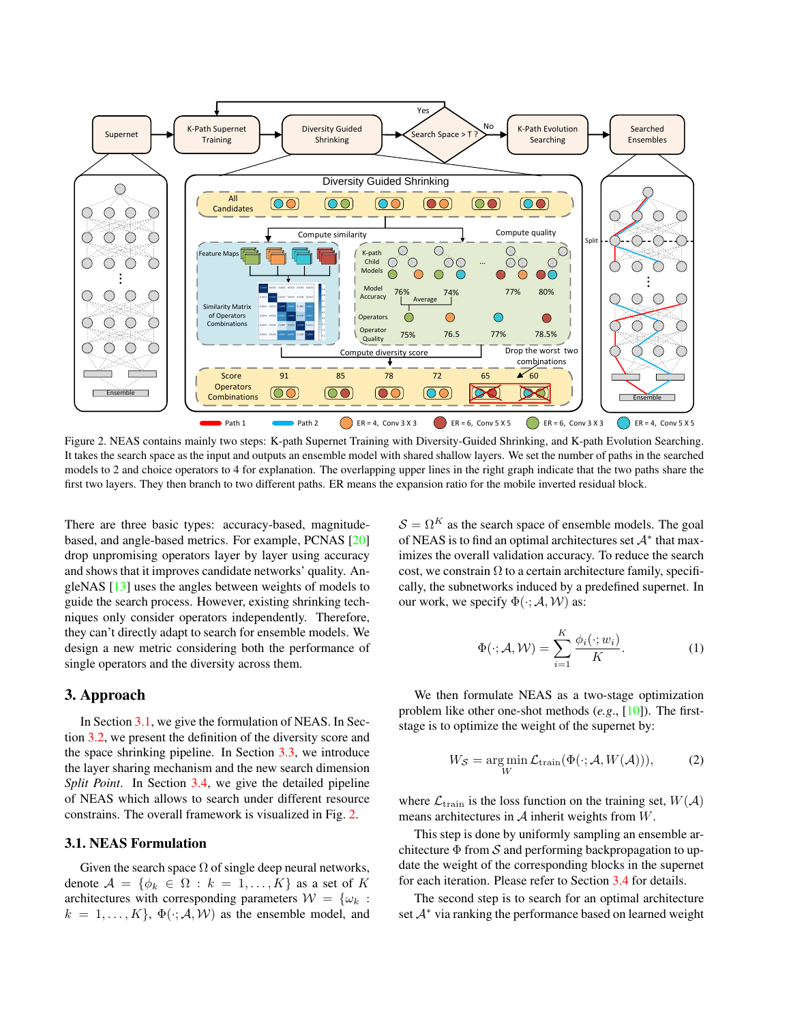

<span id="page-2-1"></span>Figure 2. NEAS contains mainly two steps: K-path Supernet Training with Diversity-Guided Shrinking, and K-path Evolution Searching. It takes the search space as the input and outputs an ensemble model with shared shallow layers. We set the number of paths in the searched models to 2 and choice operators to 4 for explanation. The overlapping upper lines in the right graph indicate that the two paths share the first two layers. They then branch to two different paths. ER means the expansion ratio for the mobile inverted residual block.

There are three basic types: accuracy-based, magnitudebased, and angle-based metrics. For example, PCNAS [\[20\]](#page-8-19) drop unpromising operators layer by layer using accuracy and shows that it improves candidate networks' quality. AngleNAS [\[13\]](#page-8-18) uses the angles between weights of models to guide the search process. However, existing shrinking techniques only consider operators independently. Therefore, they can't directly adapt to search for ensemble models. We design a new metric considering both the performance of single operators and the diversity across them.

## 3. Approach

In Section [3.1,](#page-2-0) we give the formulation of NEAS. In Section [3.2,](#page-3-0) we present the definition of the diversity score and the space shrinking pipeline. In Section [3.3,](#page-3-1) we introduce the layer sharing mechanism and the new search dimension *Split Point.* In Section [3.4,](#page-4-0) we give the detailed pipeline of NEAS which allows to search under different resource constrains. The overall framework is visualized in Fig. [2.](#page-2-1)

#### <span id="page-2-0"></span>3.1. NEAS Formulation

Given the search space  $\Omega$  of single deep neural networks, denote  $A = \{\phi_k \in \Omega : k = 1, ..., K\}$  as a set of K architectures with corresponding parameters  $\mathcal{W} = \{\omega_k :$  $k = 1, \ldots, K$ ,  $\Phi(\cdot; A, W)$  as the ensemble model, and  $S = \Omega^{K}$  as the search space of ensemble models. The goal of NEAS is to find an optimal architectures set  $A^*$  that maximizes the overall validation accuracy. To reduce the search cost, we constrain  $\Omega$  to a certain architecture family, specifically, the subnetworks induced by a predefined supernet. In our work, we specify  $\Phi(\cdot; A, W)$  as:

$$
\Phi(\cdot; \mathcal{A}, \mathcal{W}) = \sum_{i=1}^{K} \frac{\phi_i(\cdot; w_i)}{K}.
$$
 (1)

We then formulate NEAS as a two-stage optimization problem like other one-shot methods (*e.g*., [\[10\]](#page-8-11)). The firststage is to optimize the weight of the supernet by:

$$
W_{\mathcal{S}} = \underset{W}{\text{arg min}} \mathcal{L}_{\text{train}}(\Phi(\cdot; \mathcal{A}, W(\mathcal{A}))), \tag{2}
$$

where  $\mathcal{L}_{\text{train}}$  is the loss function on the training set,  $W(\mathcal{A})$ means architectures in  $A$  inherit weights from  $W$ .

This step is done by uniformly sampling an ensemble architecture  $\Phi$  from S and performing backpropagation to update the weight of the corresponding blocks in the supernet for each iteration. Please refer to Section [3.4](#page-4-0) for details.

The second step is to search for an optimal architecture set  $A^*$  via ranking the performance based on learned weight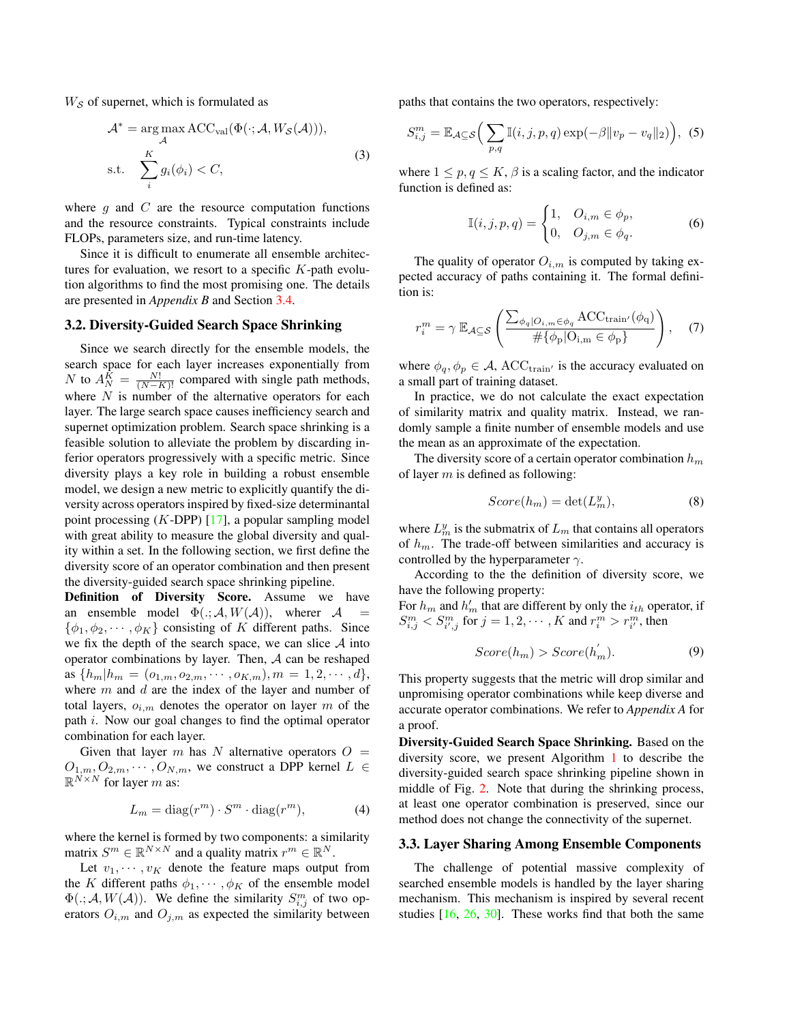$W<sub>S</sub>$  of supernet, which is formulated as

$$
\mathcal{A}^* = \underset{\mathcal{A}}{\arg \max} \, \text{ACC}_{\text{val}}(\Phi(\cdot; \mathcal{A}, W_{\mathcal{S}}(\mathcal{A}))),
$$
  
s.t. 
$$
\sum_{i}^{K} g_i(\phi_i) < C,
$$
 (3)

where  $q$  and  $C$  are the resource computation functions and the resource constraints. Typical constraints include FLOPs, parameters size, and run-time latency.

Since it is difficult to enumerate all ensemble architectures for evaluation, we resort to a specific  $K$ -path evolution algorithms to find the most promising one. The details are presented in *Appendix B* and Section [3.4.](#page-4-0)

#### <span id="page-3-0"></span>3.2. Diversity-Guided Search Space Shrinking

Since we search directly for the ensemble models, the search space for each layer increases exponentially from N to  $A_N^K = \frac{N!}{(N-K)!}$  compared with single path methods, where  $N$  is number of the alternative operators for each layer. The large search space causes inefficiency search and supernet optimization problem. Search space shrinking is a feasible solution to alleviate the problem by discarding inferior operators progressively with a specific metric. Since diversity plays a key role in building a robust ensemble model, we design a new metric to explicitly quantify the diversity across operators inspired by fixed-size determinantal point processing  $(K-DPP)$  [\[17\]](#page-8-22), a popular sampling model with great ability to measure the global diversity and quality within a set. In the following section, we first define the diversity score of an operator combination and then present the diversity-guided search space shrinking pipeline.

Definition of Diversity Score. Assume we have an ensemble model  $\Phi(.; A, W(A))$ , wherer A  $\{\phi_1, \phi_2, \cdots, \phi_K\}$  consisting of K different paths. Since we fix the depth of the search space, we can slice  $A$  into operator combinations by layer. Then,  $A$  can be reshaped as  $\{h_m | h_m = (o_{1,m}, o_{2,m}, \cdots, o_{K,m}), m = 1, 2, \cdots, d\},\$ where  $m$  and  $d$  are the index of the layer and number of total layers,  $o_{i,m}$  denotes the operator on layer m of the path i. Now our goal changes to find the optimal operator combination for each layer.

Given that layer m has N alternative operators  $O =$  $O_{1,m}, O_{2,m}, \cdots, O_{N,m}$ , we construct a DPP kernel  $L \in$  $\mathbb{R}^{N \times N}$  for layer m as:

$$
L_m = \text{diag}(r^m) \cdot S^m \cdot \text{diag}(r^m),\tag{4}
$$

where the kernel is formed by two components: a similarity matrix  $S^m \in \mathbb{R}^{N \times N}$  and a quality matrix  $r^m \in \mathbb{R}^N$ .

Let  $v_1, \dots, v_K$  denote the feature maps output from the K different paths  $\phi_1, \cdots, \phi_K$  of the ensemble model  $\Phi(.;\mathcal{A}, W(\mathcal{A}))$ . We define the similarity  $S_{i,j}^m$  of two operators  $O_{i,m}$  and  $O_{j,m}$  as expected the similarity between

paths that contains the two operators, respectively:

<span id="page-3-2"></span>
$$
S_{i,j}^m = \mathbb{E}_{\mathcal{A}\subseteq\mathcal{S}}\Big(\sum_{p,q} \mathbb{I}(i,j,p,q) \exp(-\beta \|v_p - v_q\|_2)\Big),\tag{5}
$$

where  $1 \leq p, q \leq K, \beta$  is a scaling factor, and the indicator function is defined as:

$$
\mathbb{I}(i,j,p,q) = \begin{cases} 1, & O_{i,m} \in \phi_p, \\ 0, & O_{j,m} \in \phi_q. \end{cases} \tag{6}
$$

The quality of operator  $O_{i,m}$  is computed by taking expected accuracy of paths containing it. The formal definition is:

<span id="page-3-3"></span>
$$
r_i^m = \gamma \mathbb{E}_{\mathcal{A}\subseteq\mathcal{S}}\left(\frac{\sum_{\phi_q|O_{i,m}\in\phi_q} \text{ACC}_{\text{train}'}(\phi_q)}{\#\{\phi_p|O_{i,m}\in\phi_p\}}\right), \quad (7)
$$

where  $\phi_q, \phi_p \in A$ , ACC<sub>train'</sub> is the accuracy evaluated on a small part of training dataset.

In practice, we do not calculate the exact expectation of similarity matrix and quality matrix. Instead, we randomly sample a finite number of ensemble models and use the mean as an approximate of the expectation.

The diversity score of a certain operator combination  $h_m$ of layer  $m$  is defined as following:

<span id="page-3-4"></span>
$$
Score(h_m) = \det(L_m^y),\tag{8}
$$

where  $L_m^y$  is the submatrix of  $L_m$  that contains all operators of  $h_m$ . The trade-off between similarities and accuracy is controlled by the hyperparameter  $\gamma$ .

According to the the definition of diversity score, we have the following property:

For  $h_m$  and  $h'_m$  that are different by only the  $i_{th}$  operator, if  $S_{i,j}^m < S_{i',j}^m$  for  $j = 1, 2, \cdots, K$  and  $r_i^m > r_{i'}^m$ , then

$$
Score(h_m) > Score(h_m^{'})
$$
 (9)

This property suggests that the metric will drop similar and unpromising operator combinations while keep diverse and accurate operator combinations. We refer to *Appendix A* for a proof.

Diversity-Guided Search Space Shrinking. Based on the diversity score, we present Algorithm [1](#page-4-1) to describe the diversity-guided search space shrinking pipeline shown in middle of Fig. [2.](#page-2-1) Note that during the shrinking process, at least one operator combination is preserved, since our method does not change the connectivity of the supernet.

## <span id="page-3-1"></span>3.3. Layer Sharing Among Ensemble Components

The challenge of potential massive complexity of searched ensemble models is handled by the layer sharing mechanism. This mechanism is inspired by several recent studies  $[16, 26, 30]$  $[16, 26, 30]$  $[16, 26, 30]$  $[16, 26, 30]$  $[16, 26, 30]$ . These works find that both the same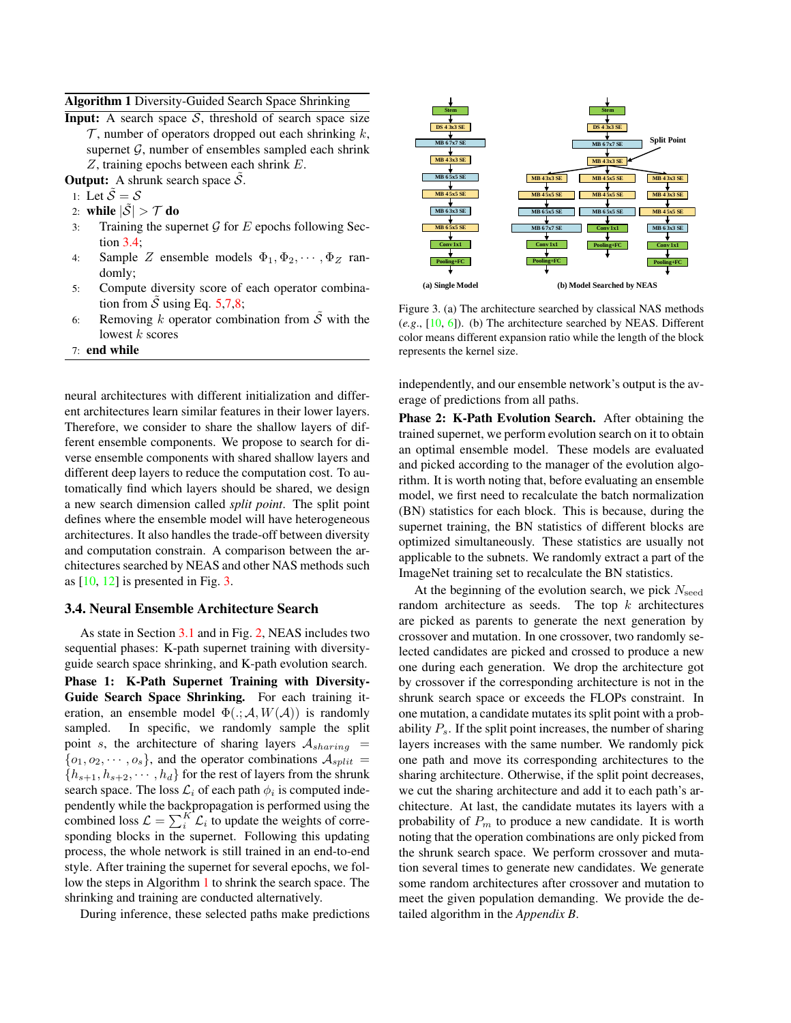## <span id="page-4-1"></span>Algorithm 1 Diversity-Guided Search Space Shrinking

**Input:** A search space  $S$ , threshold of search space size  $\mathcal T$ , number of operators dropped out each shrinking  $k$ , supernet  $G$ , number of ensembles sampled each shrink  $Z$ , training epochs between each shrink  $E$ .

**Output:** A shrunk search space  $S$ .

- 1: Let  $\tilde{\mathcal{S}} = \mathcal{S}$
- 2: while  $|\tilde{\mathcal{S}}| > \mathcal{T}$  do
- 3: Training the supernet  $\mathcal G$  for  $E$  epochs following Section [3.4;](#page-4-0)
- 4: Sample Z ensemble models  $\Phi_1, \Phi_2, \cdots, \Phi_Z$  randomly;
- 5: Compute diversity score of each operator combination from S using Eq.  $5,7,8$  $5,7,8$  $5,7,8$ ;
- 6: Removing k operator combination from  $\tilde{S}$  with the lowest  $k$  scores
- 7: end while

neural architectures with different initialization and different architectures learn similar features in their lower layers. Therefore, we consider to share the shallow layers of different ensemble components. We propose to search for diverse ensemble components with shared shallow layers and different deep layers to reduce the computation cost. To automatically find which layers should be shared, we design a new search dimension called *split point*. The split point defines where the ensemble model will have heterogeneous architectures. It also handles the trade-off between diversity and computation constrain. A comparison between the architectures searched by NEAS and other NAS methods such as  $[10, 12]$  $[10, 12]$  $[10, 12]$  is presented in Fig. [3.](#page-4-2)

#### <span id="page-4-0"></span>3.4. Neural Ensemble Architecture Search

As state in Section [3.1](#page-2-0) and in Fig. [2,](#page-2-1) NEAS includes two sequential phases: K-path supernet training with diversityguide search space shrinking, and K-path evolution search. Phase 1: K-Path Supernet Training with Diversity-Guide Search Space Shrinking. For each training iteration, an ensemble model  $\Phi(.; A, W(A))$  is randomly sampled. In specific, we randomly sample the split point s, the architecture of sharing layers  $A_{sharing}$  =  $\{o_1, o_2, \cdots, o_s\}$ , and the operator combinations  $\mathcal{A}_{split}$  ${h_{s+1}, h_{s+2}, \cdots, h_d}$  for the rest of layers from the shrunk search space. The loss  $\mathcal{L}_i$  of each path  $\phi_i$  is computed independently while the backpropagation is performed using the combined loss  $\mathcal{L} = \sum_{i}^{K} \mathcal{L}_i$  to update the weights of corresponding blocks in the supernet. Following this updating process, the whole network is still trained in an end-to-end style. After training the supernet for several epochs, we follow the steps in Algorithm [1](#page-4-1) to shrink the search space. The shrinking and training are conducted alternatively.

During inference, these selected paths make predictions



<span id="page-4-2"></span>Figure 3. (a) The architecture searched by classical NAS methods (*e.g*., [\[10,](#page-8-11) [6\]](#page-8-12)). (b) The architecture searched by NEAS. Different color means different expansion ratio while the length of the block represents the kernel size.

independently, and our ensemble network's output is the average of predictions from all paths.

Phase 2: K-Path Evolution Search. After obtaining the trained supernet, we perform evolution search on it to obtain an optimal ensemble model. These models are evaluated and picked according to the manager of the evolution algorithm. It is worth noting that, before evaluating an ensemble model, we first need to recalculate the batch normalization (BN) statistics for each block. This is because, during the supernet training, the BN statistics of different blocks are optimized simultaneously. These statistics are usually not applicable to the subnets. We randomly extract a part of the ImageNet training set to recalculate the BN statistics.

At the beginning of the evolution search, we pick  $N_{\text{seed}}$ random architecture as seeds. The top  $k$  architectures are picked as parents to generate the next generation by crossover and mutation. In one crossover, two randomly selected candidates are picked and crossed to produce a new one during each generation. We drop the architecture got by crossover if the corresponding architecture is not in the shrunk search space or exceeds the FLOPs constraint. In one mutation, a candidate mutates its split point with a probability  $P_s$ . If the split point increases, the number of sharing layers increases with the same number. We randomly pick one path and move its corresponding architectures to the sharing architecture. Otherwise, if the split point decreases, we cut the sharing architecture and add it to each path's architecture. At last, the candidate mutates its layers with a probability of  $P_m$  to produce a new candidate. It is worth noting that the operation combinations are only picked from the shrunk search space. We perform crossover and mutation several times to generate new candidates. We generate some random architectures after crossover and mutation to meet the given population demanding. We provide the detailed algorithm in the *Appendix B*.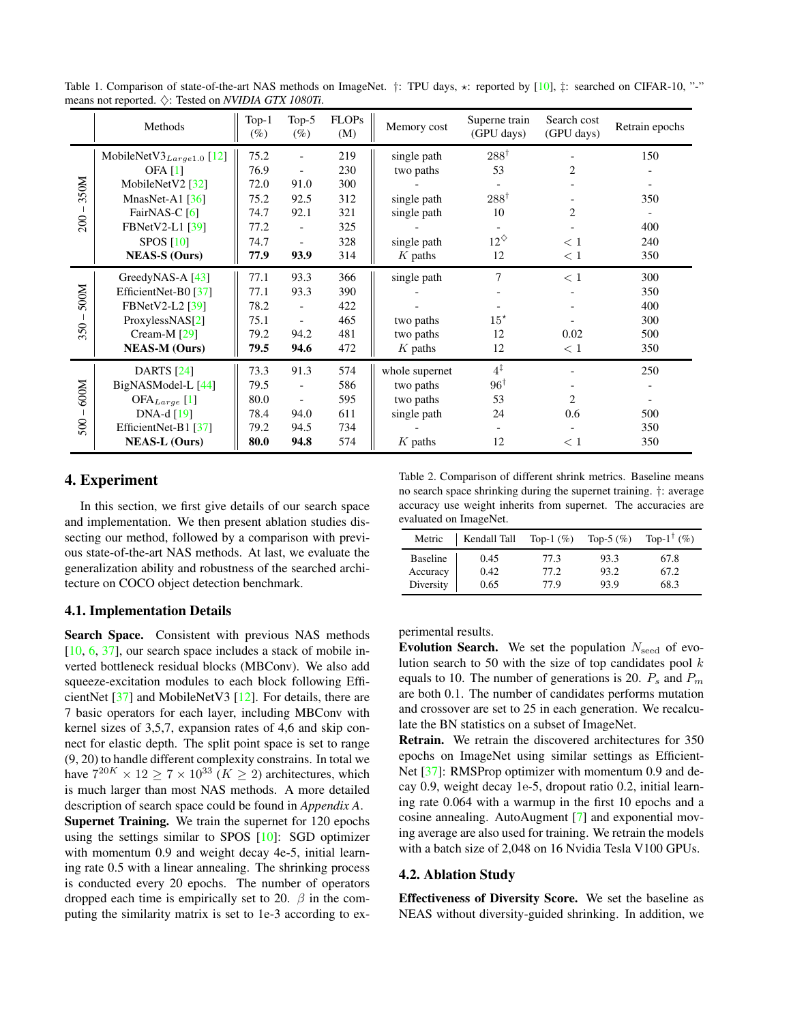|             | Methods                         | $Top-1$<br>$(\%)$ | Top- $5$<br>$(\%)$       | <b>FLOPs</b><br>(M) | Memory cost    | Superne train<br>(GPU days) | Search cost<br>(GPU days) | Retrain epochs |
|-------------|---------------------------------|-------------------|--------------------------|---------------------|----------------|-----------------------------|---------------------------|----------------|
|             | MobileNetV $3_{Large 1.0}$ [12] | 75.2              |                          | 219                 | single path    | $288^{\dagger}$             |                           | 150            |
|             | <b>OFA</b> [1]                  | 76.9              |                          | 230                 | two paths      | 53                          | 2                         |                |
| 350M        | MobileNetV2 $[32]$              | 72.0              | 91.0                     | 300                 |                |                             |                           |                |
|             | MnasNet-A1 $[36]$               | 75.2              | 92.5                     | 312                 | single path    | $288^{\dagger}$             |                           | 350            |
|             | FairNAS-C [6]                   | 74.7              | 92.1                     | 321                 | single path    | 10                          | $\overline{2}$            |                |
| 200         | FBNetV2-L1 [39]                 | 77.2              | $\overline{\phantom{a}}$ | 325                 |                |                             |                           | 400            |
|             | <b>SPOS [10]</b>                | 74.7              |                          | 328                 | single path    | $12^{\diamond}$             | $\leq 1$                  | 240            |
|             | <b>NEAS-S (Ours)</b>            | 77.9              | 93.9                     | 314                 | $K$ paths      | 12                          | < 1                       | 350            |
|             | GreedyNAS-A $[43]$              | 77.1              | 93.3                     | 366                 | single path    | $\overline{7}$              | $\leq 1$                  | 300            |
| 500M        | EfficientNet-B0 [37]            | 77.1              | 93.3                     | 390                 |                |                             |                           | 350            |
|             | <b>FBNetV2-L2</b> [39]          | 78.2              |                          | 422                 |                |                             |                           | 400            |
|             | ProxylessNAS[2]                 | 75.1              | $\overline{\phantom{a}}$ | 465                 | two paths      | $15^{\star}$                |                           | 300            |
| 350         | Cream-M [29]                    | 79.2              | 94.2                     | 481                 | two paths      | 12                          | 0.02                      | 500            |
|             | <b>NEAS-M (Ours)</b>            | 79.5              | 94.6                     | 472                 | $K$ paths      | 12                          | < 1                       | 350            |
|             | <b>DARTS</b> [24]               | 73.3              | 91.3                     | 574                 | whole supernet | $4^{\ddagger}$              |                           | 250            |
|             | BigNASModel-L [44]              | 79.5              |                          | 586                 | two paths      | $96^{\dagger}$              |                           |                |
| 600M<br>500 | $OFA_{Large}$ [1]               | 80.0              | $\overline{\phantom{a}}$ | 595                 | two paths      | 53                          | $\overline{c}$            |                |
|             | $DNA-d[19]$                     | 78.4              | 94.0                     | 611                 | single path    | 24                          | 0.6                       | 500            |
|             | EfficientNet-B1 [37]            | 79.2              | 94.5                     | 734                 |                |                             |                           | 350            |
|             | <b>NEAS-L (Ours)</b>            | 80.0              | 94.8                     | 574                 | $K$ paths      | 12                          | <1                        | 350            |

<span id="page-5-1"></span>Table 1. Comparison of state-of-the-art NAS methods on ImageNet. †: TPU days,  $\star$ : reported by [\[10\]](#page-8-11),  $\ddagger$ : searched on CIFAR-10, "-" means not reported. ♦: Tested on *NVIDIA GTX 1080Ti*.

# 4. Experiment

In this section, we first give details of our search space and implementation. We then present ablation studies dissecting our method, followed by a comparison with previous state-of-the-art NAS methods. At last, we evaluate the generalization ability and robustness of the searched architecture on COCO object detection benchmark.

# 4.1. Implementation Details

Search Space. Consistent with previous NAS methods [\[10,](#page-8-11) [6,](#page-8-12) [37\]](#page-9-3), our search space includes a stack of mobile inverted bottleneck residual blocks (MBConv). We also add squeeze-excitation modules to each block following EfficientNet [\[37\]](#page-9-3) and MobileNetV3 [\[12\]](#page-8-9). For details, there are 7 basic operators for each layer, including MBConv with kernel sizes of 3,5,7, expansion rates of 4,6 and skip connect for elastic depth. The split point space is set to range (9, 20) to handle different complexity constrains. In total we have  $7^{20K} \times 12 \ge 7 \times 10^{33}$  ( $K \ge 2$ ) architectures, which is much larger than most NAS methods. A more detailed description of search space could be found in *Appendix A*. Supernet Training. We train the supernet for 120 epochs using the settings similar to SPOS [\[10\]](#page-8-11): SGD optimizer with momentum 0.9 and weight decay 4e-5, initial learning rate 0.5 with a linear annealing. The shrinking process is conducted every 20 epochs. The number of operators dropped each time is empirically set to 20.  $\beta$  in the com-

puting the similarity matrix is set to 1e-3 according to ex-

<span id="page-5-0"></span>Table 2. Comparison of different shrink metrics. Baseline means no search space shrinking during the supernet training. †: average accuracy use weight inherits from supernet. The accuracies are evaluated on ImageNet.

| Metric          | Kendall Tall | Top-1 $(\%)$ | Top-5 $(\%)$ | Top- $1^{\dagger}$ (%) |
|-----------------|--------------|--------------|--------------|------------------------|
| <b>Baseline</b> | 0.45         | 77.3         | 93.3         | 67.8                   |
| Accuracy        | 0.42         | 77.2         | 93.2         | 67.2                   |
| Diversity       | 0.65         | 77.9         | 93.9         | 68.3                   |

perimental results.

Evolution Search. We set the population  $N_{\rm seed}$  of evolution search to 50 with the size of top candidates pool  $k$ equals to 10. The number of generations is 20.  $P_s$  and  $P_m$ are both 0.1. The number of candidates performs mutation and crossover are set to 25 in each generation. We recalculate the BN statistics on a subset of ImageNet.

Retrain. We retrain the discovered architectures for 350 epochs on ImageNet using similar settings as Efficient-Net [\[37\]](#page-9-3): RMSProp optimizer with momentum 0.9 and decay 0.9, weight decay 1e-5, dropout ratio 0.2, initial learning rate 0.064 with a warmup in the first 10 epochs and a cosine annealing. AutoAugment [\[7\]](#page-8-30) and exponential moving average are also used for training. We retrain the models with a batch size of 2,048 on 16 Nvidia Tesla V100 GPUs.

#### 4.2. Ablation Study

Effectiveness of Diversity Score. We set the baseline as NEAS without diversity-guided shrinking. In addition, we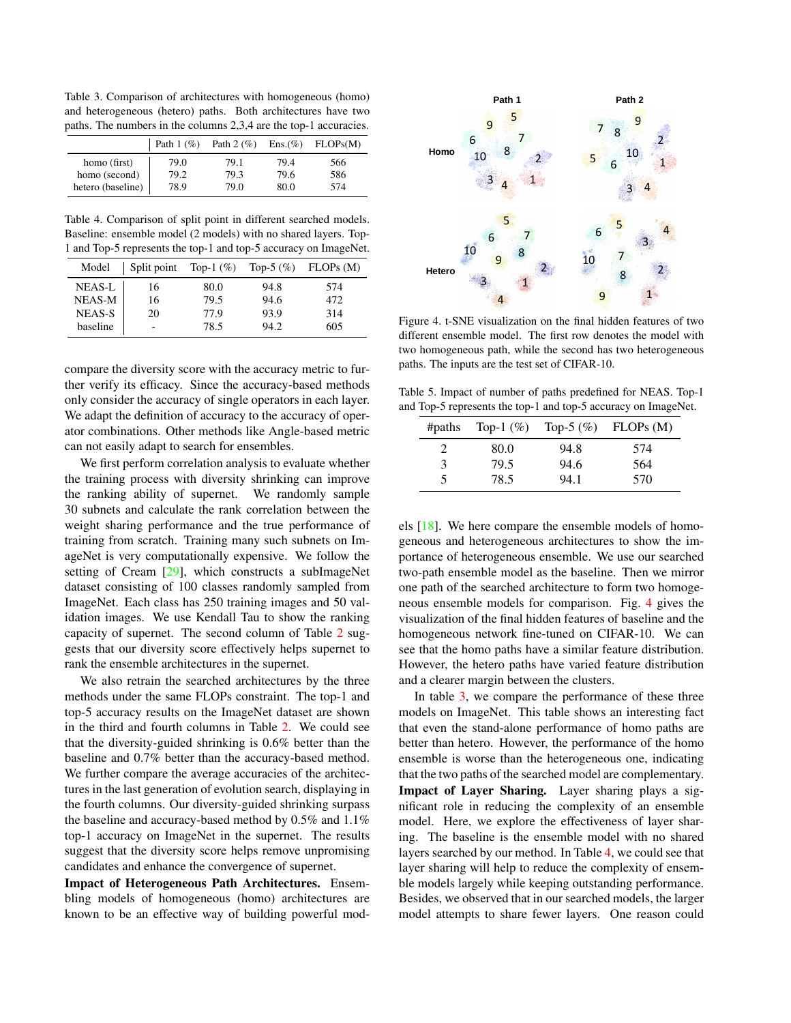<span id="page-6-1"></span>Table 3. Comparison of architectures with homogeneous (homo) and heterogeneous (hetero) paths. Both architectures have two paths. The numbers in the columns 2,3,4 are the top-1 accuracies.

|                   | Path $1$ $(\%)$ | Path $2 \left( \% \right)$ | $Ens.(\% )$ | FLOPs(M) |
|-------------------|-----------------|----------------------------|-------------|----------|
| homo (first)      | 79.0            | 79.1                       | 79.4        | 566      |
| homo (second)     | 79.2            | 79.3                       | 79.6        | 586      |
| hetero (baseline) | 78.9            | 79.0                       | 80.0        | 574      |

<span id="page-6-2"></span>Table 4. Comparison of split point in different searched models. Baseline: ensemble model (2 models) with no shared layers. Top-1 and Top-5 represents the top-1 and top-5 accuracy on ImageNet.

| Model         | Split point              | Top-1 $(\%)$ | Top-5 $(\%)$ | FLOPs (M) |
|---------------|--------------------------|--------------|--------------|-----------|
| NEAS-L        | 16                       | 80.0         | 94.8         | 574       |
| NEAS-M        | 16                       | 79.5         | 94.6         | 472       |
| <b>NEAS-S</b> | 20                       | 77.9         | 93.9         | 314       |
| baseline      | $\overline{\phantom{0}}$ | 78.5         | 94.2         | 605       |

compare the diversity score with the accuracy metric to further verify its efficacy. Since the accuracy-based methods only consider the accuracy of single operators in each layer. We adapt the definition of accuracy to the accuracy of operator combinations. Other methods like Angle-based metric can not easily adapt to search for ensembles.

We first perform correlation analysis to evaluate whether the training process with diversity shrinking can improve the ranking ability of supernet. We randomly sample 30 subnets and calculate the rank correlation between the weight sharing performance and the true performance of training from scratch. Training many such subnets on ImageNet is very computationally expensive. We follow the setting of Cream [\[29\]](#page-8-28), which constructs a subImageNet dataset consisting of 100 classes randomly sampled from ImageNet. Each class has 250 training images and 50 validation images. We use Kendall Tau to show the ranking capacity of supernet. The second column of Table [2](#page-5-0) suggests that our diversity score effectively helps supernet to rank the ensemble architectures in the supernet.

We also retrain the searched architectures by the three methods under the same FLOPs constraint. The top-1 and top-5 accuracy results on the ImageNet dataset are shown in the third and fourth columns in Table [2.](#page-5-0) We could see that the diversity-guided shrinking is 0.6% better than the baseline and 0.7% better than the accuracy-based method. We further compare the average accuracies of the architectures in the last generation of evolution search, displaying in the fourth columns. Our diversity-guided shrinking surpass the baseline and accuracy-based method by 0.5% and 1.1% top-1 accuracy on ImageNet in the supernet. The results suggest that the diversity score helps remove unpromising candidates and enhance the convergence of supernet.

Impact of Heterogeneous Path Architectures. Ensembling models of homogeneous (homo) architectures are known to be an effective way of building powerful mod-



<span id="page-6-0"></span>Figure 4. t-SNE visualization on the final hidden features of two different ensemble model. The first row denotes the model with two homogeneous path, while the second has two heterogeneous paths. The inputs are the test set of CIFAR-10.

Table 5. Impact of number of paths predefined for NEAS. Top-1 and Top-5 represents the top-1 and top-5 accuracy on ImageNet.

<span id="page-6-3"></span>

| #paths                      | Top-1 $(\%)$ |      | Top-5 $(\%)$ FLOPs $(M)$ |
|-----------------------------|--------------|------|--------------------------|
| $\mathcal{D}_{\mathcal{L}}$ | 80.0         | 94.8 | 574                      |
| 3                           | 79.5         | 94.6 | 564                      |
| 5                           | 78.5         | 94.1 | 570                      |

els [\[18\]](#page-8-31). We here compare the ensemble models of homogeneous and heterogeneous architectures to show the importance of heterogeneous ensemble. We use our searched two-path ensemble model as the baseline. Then we mirror one path of the searched architecture to form two homogeneous ensemble models for comparison. Fig. [4](#page-6-0) gives the visualization of the final hidden features of baseline and the homogeneous network fine-tuned on CIFAR-10. We can see that the homo paths have a similar feature distribution. However, the hetero paths have varied feature distribution and a clearer margin between the clusters.

In table [3,](#page-6-1) we compare the performance of these three models on ImageNet. This table shows an interesting fact that even the stand-alone performance of homo paths are better than hetero. However, the performance of the homo ensemble is worse than the heterogeneous one, indicating that the two paths of the searched model are complementary. Impact of Layer Sharing. Layer sharing plays a significant role in reducing the complexity of an ensemble model. Here, we explore the effectiveness of layer sharing. The baseline is the ensemble model with no shared layers searched by our method. In Table [4,](#page-6-2) we could see that layer sharing will help to reduce the complexity of ensemble models largely while keeping outstanding performance. Besides, we observed that in our searched models, the larger model attempts to share fewer layers. One reason could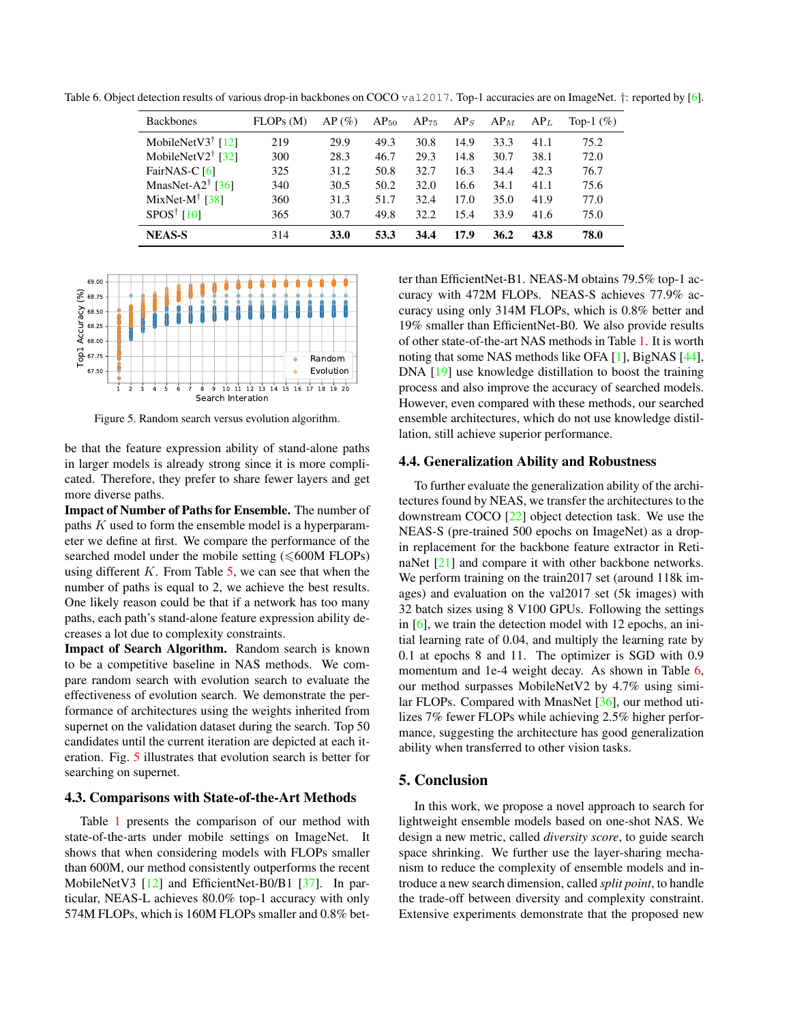Table 6. Object detection results of various drop-in backbones on COCO val2017. Top-1 accuracies are on ImageNet. †: reported by [\[6\]](#page-8-12).

<span id="page-7-1"></span>

| <b>Backbones</b>                                 | FLOPs(M) | $AP(\%)$ | $AP_{50}$ | $AP_{75}$ | AP <sub>S</sub> | $AP_M$ | AP <sub>L</sub> | Top-1 $(\%)$ |
|--------------------------------------------------|----------|----------|-----------|-----------|-----------------|--------|-----------------|--------------|
| MobileNetV3 <sup>†</sup> [12]                    | 219      | 29.9     | 49.3      | 30.8      | 14.9            | 33.3   | 41.1            | 75.2         |
| MobileNetV2 <sup><math>\dagger</math></sup> [32] | 300      | 28.3     | 46.7      | 29.3      | 14.8            | 30.7   | 38.1            | 72.0         |
| FairNAS-C [6]                                    | 325      | 31.2     | 50.8      | 32.7      | 16.3            | 34.4   | 42.3            | 76.7         |
| MnasNet-A2 <sup>†</sup> [36]                     | 340      | 30.5     | 50.2      | 32.0      | 16.6            | 34.1   | 41.1            | 75.6         |
| MixNet-M <sup>†</sup> [38]                       | 360      | 31.3     | 51.7      | 32.4      | 17.0            | 35.0   | 41.9            | 77.0         |
| SPOS <sup>†</sup> [10]                           | 365      | 30.7     | 49.8      | 32.2      | 15.4            | 33.9   | 41.6            | 75.0         |
| <b>NEAS-S</b>                                    | 314      | 33.0     | 53.3      | 34.4      | 17.9            | 36.2   | 43.8            | 78.0         |



<span id="page-7-0"></span>Figure 5. Random search versus evolution algorithm.

be that the feature expression ability of stand-alone paths in larger models is already strong since it is more complicated. Therefore, they prefer to share fewer layers and get more diverse paths.

Impact of Number of Paths for Ensemble. The number of paths K used to form the ensemble model is a hyperparameter we define at first. We compare the performance of the searched model under the mobile setting  $(\leq 600M$  FLOPs) using different  $K$ . From Table [5,](#page-6-3) we can see that when the number of paths is equal to 2, we achieve the best results. One likely reason could be that if a network has too many paths, each path's stand-alone feature expression ability decreases a lot due to complexity constraints.

Impact of Search Algorithm. Random search is known to be a competitive baseline in NAS methods. We compare random search with evolution search to evaluate the effectiveness of evolution search. We demonstrate the performance of architectures using the weights inherited from supernet on the validation dataset during the search. Top 50 candidates until the current iteration are depicted at each iteration. Fig. [5](#page-7-0) illustrates that evolution search is better for searching on supernet.

#### 4.3. Comparisons with State-of-the-Art Methods

Table [1](#page-5-1) presents the comparison of our method with state-of-the-arts under mobile settings on ImageNet. It shows that when considering models with FLOPs smaller than 600M, our method consistently outperforms the recent MobileNetV3 [\[12\]](#page-8-9) and EfficientNet-B0/B1 [\[37\]](#page-9-3). In particular, NEAS-L achieves 80.0% top-1 accuracy with only 574M FLOPs, which is 160M FLOPs smaller and 0.8% better than EfficientNet-B1. NEAS-M obtains 79.5% top-1 accuracy with 472M FLOPs. NEAS-S achieves 77.9% accuracy using only 314M FLOPs, which is 0.8% better and 19% smaller than EfficientNet-B0. We also provide results of other state-of-the-art NAS methods in Table [1.](#page-5-1) It is worth noting that some NAS methods like OFA [\[1\]](#page-8-26), BigNAS [\[44\]](#page-9-14), DNA [\[19\]](#page-8-29) use knowledge distillation to boost the training process and also improve the accuracy of searched models. However, even compared with these methods, our searched ensemble architectures, which do not use knowledge distillation, still achieve superior performance.

#### 4.4. Generalization Ability and Robustness

To further evaluate the generalization ability of the architectures found by NEAS, we transfer the architectures to the downstream COCO [\[22\]](#page-8-32) object detection task. We use the NEAS-S (pre-trained 500 epochs on ImageNet) as a dropin replacement for the backbone feature extractor in RetinaNet [\[21\]](#page-8-33) and compare it with other backbone networks. We perform training on the train 2017 set (around 118k images) and evaluation on the val2017 set (5k images) with 32 batch sizes using 8 V100 GPUs. Following the settings in [\[6\]](#page-8-12), we train the detection model with 12 epochs, an initial learning rate of 0.04, and multiply the learning rate by 0.1 at epochs 8 and 11. The optimizer is SGD with 0.9 momentum and 1e-4 weight decay. As shown in Table [6,](#page-7-1) our method surpasses MobileNetV2 by 4.7% using similar FLOPs. Compared with MnasNet [\[36\]](#page-9-11), our method utilizes 7% fewer FLOPs while achieving 2.5% higher performance, suggesting the architecture has good generalization ability when transferred to other vision tasks.

## 5. Conclusion

In this work, we propose a novel approach to search for lightweight ensemble models based on one-shot NAS. We design a new metric, called *diversity score*, to guide search space shrinking. We further use the layer-sharing mechanism to reduce the complexity of ensemble models and introduce a new search dimension, called *split point*, to handle the trade-off between diversity and complexity constraint. Extensive experiments demonstrate that the proposed new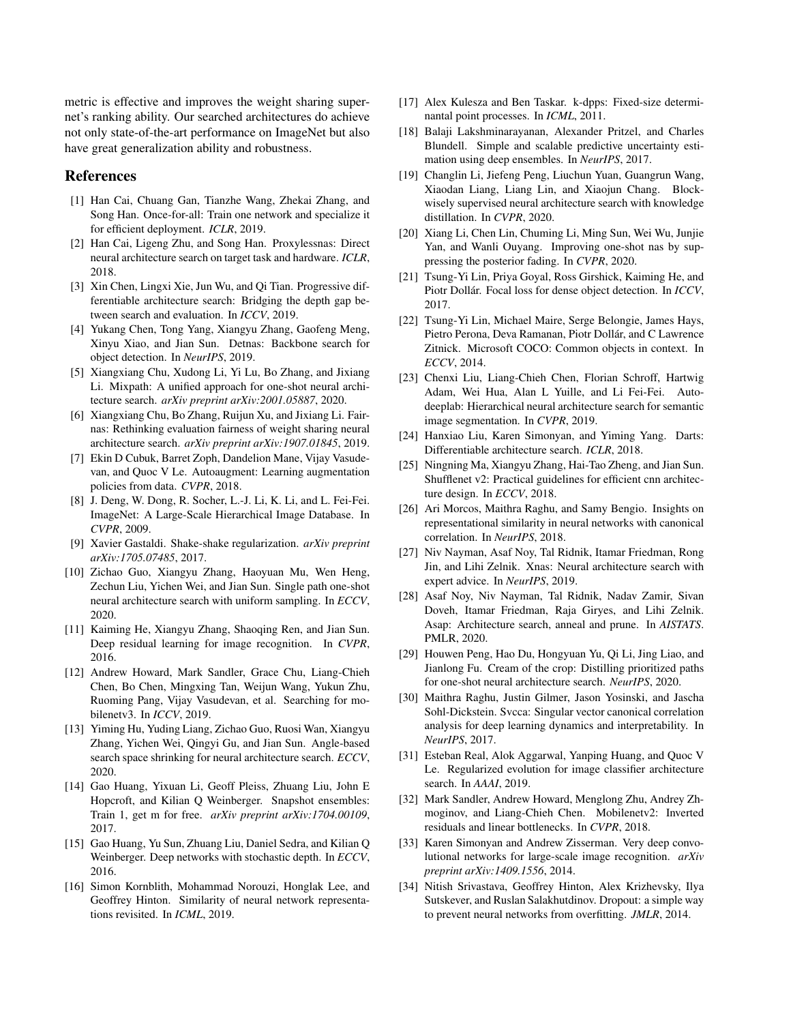metric is effective and improves the weight sharing supernet's ranking ability. Our searched architectures do achieve not only state-of-the-art performance on ImageNet but also have great generalization ability and robustness.

# References

- <span id="page-8-26"></span>[1] Han Cai, Chuang Gan, Tianzhe Wang, Zhekai Zhang, and Song Han. Once-for-all: Train one network and specialize it for efficient deployment. *ICLR*, 2019.
- <span id="page-8-27"></span>[2] Han Cai, Ligeng Zhu, and Song Han. Proxylessnas: Direct neural architecture search on target task and hardware. *ICLR*, 2018.
- <span id="page-8-15"></span>[3] Xin Chen, Lingxi Xie, Jun Wu, and Qi Tian. Progressive differentiable architecture search: Bridging the depth gap between search and evaluation. In *ICCV*, 2019.
- <span id="page-8-4"></span>[4] Yukang Chen, Tong Yang, Xiangyu Zhang, Gaofeng Meng, Xinyu Xiao, and Jian Sun. Detnas: Backbone search for object detection. In *NeurIPS*, 2019.
- <span id="page-8-13"></span>[5] Xiangxiang Chu, Xudong Li, Yi Lu, Bo Zhang, and Jixiang Li. Mixpath: A unified approach for one-shot neural architecture search. *arXiv preprint arXiv:2001.05887*, 2020.
- <span id="page-8-12"></span>[6] Xiangxiang Chu, Bo Zhang, Ruijun Xu, and Jixiang Li. Fairnas: Rethinking evaluation fairness of weight sharing neural architecture search. *arXiv preprint arXiv:1907.01845*, 2019.
- <span id="page-8-30"></span>[7] Ekin D Cubuk, Barret Zoph, Dandelion Mane, Vijay Vasudevan, and Quoc V Le. Autoaugment: Learning augmentation policies from data. *CVPR*, 2018.
- <span id="page-8-8"></span>[8] J. Deng, W. Dong, R. Socher, L.-J. Li, K. Li, and L. Fei-Fei. ImageNet: A Large-Scale Hierarchical Image Database. In *CVPR*, 2009.
- <span id="page-8-7"></span>[9] Xavier Gastaldi. Shake-shake regularization. *arXiv preprint arXiv:1705.07485*, 2017.
- <span id="page-8-11"></span>[10] Zichao Guo, Xiangyu Zhang, Haoyuan Mu, Wen Heng, Zechun Liu, Yichen Wei, and Jian Sun. Single path one-shot neural architecture search with uniform sampling. In *ECCV*, 2020.
- <span id="page-8-0"></span>[11] Kaiming He, Xiangyu Zhang, Shaoqing Ren, and Jian Sun. Deep residual learning for image recognition. In *CVPR*, 2016.
- <span id="page-8-9"></span>[12] Andrew Howard, Mark Sandler, Grace Chu, Liang-Chieh Chen, Bo Chen, Mingxing Tan, Weijun Wang, Yukun Zhu, Ruoming Pang, Vijay Vasudevan, et al. Searching for mobilenetv3. In *ICCV*, 2019.
- <span id="page-8-18"></span>[13] Yiming Hu, Yuding Liang, Zichao Guo, Ruosi Wan, Xiangyu Zhang, Yichen Wei, Qingyi Gu, and Jian Sun. Angle-based search space shrinking for neural architecture search. *ECCV*, 2020.
- <span id="page-8-16"></span>[14] Gao Huang, Yixuan Li, Geoff Pleiss, Zhuang Liu, John E Hopcroft, and Kilian Q Weinberger. Snapshot ensembles: Train 1, get m for free. *arXiv preprint arXiv:1704.00109*, 2017.
- <span id="page-8-6"></span>[15] Gao Huang, Yu Sun, Zhuang Liu, Daniel Sedra, and Kilian Q Weinberger. Deep networks with stochastic depth. In *ECCV*, 2016.
- <span id="page-8-23"></span>[16] Simon Kornblith, Mohammad Norouzi, Honglak Lee, and Geoffrey Hinton. Similarity of neural network representations revisited. In *ICML*, 2019.
- <span id="page-8-22"></span>[17] Alex Kulesza and Ben Taskar. k-dpps: Fixed-size determinantal point processes. In *ICML*, 2011.
- <span id="page-8-31"></span>[18] Balaji Lakshminarayanan, Alexander Pritzel, and Charles Blundell. Simple and scalable predictive uncertainty estimation using deep ensembles. In *NeurIPS*, 2017.
- <span id="page-8-29"></span>[19] Changlin Li, Jiefeng Peng, Liuchun Yuan, Guangrun Wang, Xiaodan Liang, Liang Lin, and Xiaojun Chang. Blockwisely supervised neural architecture search with knowledge distillation. In *CVPR*, 2020.
- <span id="page-8-19"></span>[20] Xiang Li, Chen Lin, Chuming Li, Ming Sun, Wei Wu, Junjie Yan, and Wanli Ouyang. Improving one-shot nas by suppressing the posterior fading. In *CVPR*, 2020.
- <span id="page-8-33"></span>[21] Tsung-Yi Lin, Priya Goyal, Ross Girshick, Kaiming He, and Piotr Dollár. Focal loss for dense object detection. In *ICCV*, 2017.
- <span id="page-8-32"></span>[22] Tsung-Yi Lin, Michael Maire, Serge Belongie, James Hays, Pietro Perona, Deva Ramanan, Piotr Dollár, and C Lawrence Zitnick. Microsoft COCO: Common objects in context. In *ECCV*, 2014.
- <span id="page-8-3"></span>[23] Chenxi Liu, Liang-Chieh Chen, Florian Schroff, Hartwig Adam, Wei Hua, Alan L Yuille, and Li Fei-Fei. Autodeeplab: Hierarchical neural architecture search for semantic image segmentation. In *CVPR*, 2019.
- <span id="page-8-14"></span>[24] Hanxiao Liu, Karen Simonyan, and Yiming Yang. Darts: Differentiable architecture search. *ICLR*, 2018.
- <span id="page-8-1"></span>[25] Ningning Ma, Xiangyu Zhang, Hai-Tao Zheng, and Jian Sun. Shufflenet v2: Practical guidelines for efficient cnn architecture design. In *ECCV*, 2018.
- <span id="page-8-24"></span>[26] Ari Morcos, Maithra Raghu, and Samy Bengio. Insights on representational similarity in neural networks with canonical correlation. In *NeurIPS*, 2018.
- <span id="page-8-21"></span>[27] Niv Nayman, Asaf Noy, Tal Ridnik, Itamar Friedman, Rong Jin, and Lihi Zelnik. Xnas: Neural architecture search with expert advice. In *NeurIPS*, 2019.
- <span id="page-8-20"></span>[28] Asaf Noy, Niv Nayman, Tal Ridnik, Nadav Zamir, Sivan Doveh, Itamar Friedman, Raja Giryes, and Lihi Zelnik. Asap: Architecture search, anneal and prune. In *AISTATS*. PMLR, 2020.
- <span id="page-8-28"></span>[29] Houwen Peng, Hao Du, Hongyuan Yu, Qi Li, Jing Liao, and Jianlong Fu. Cream of the crop: Distilling prioritized paths for one-shot neural architecture search. *NeurIPS*, 2020.
- <span id="page-8-25"></span>[30] Maithra Raghu, Justin Gilmer, Jason Yosinski, and Jascha Sohl-Dickstein. Svcca: Singular vector canonical correlation analysis for deep learning dynamics and interpretability. In *NeurIPS*, 2017.
- <span id="page-8-10"></span>[31] Esteban Real, Alok Aggarwal, Yanping Huang, and Quoc V Le. Regularized evolution for image classifier architecture search. In *AAAI*, 2019.
- <span id="page-8-2"></span>[32] Mark Sandler, Andrew Howard, Menglong Zhu, Andrey Zhmoginov, and Liang-Chieh Chen. Mobilenetv2: Inverted residuals and linear bottlenecks. In *CVPR*, 2018.
- <span id="page-8-17"></span>[33] Karen Simonyan and Andrew Zisserman. Very deep convolutional networks for large-scale image recognition. *arXiv preprint arXiv:1409.1556*, 2014.
- <span id="page-8-5"></span>[34] Nitish Srivastava, Geoffrey Hinton, Alex Krizhevsky, Ilya Sutskever, and Ruslan Salakhutdinov. Dropout: a simple way to prevent neural networks from overfitting. *JMLR*, 2014.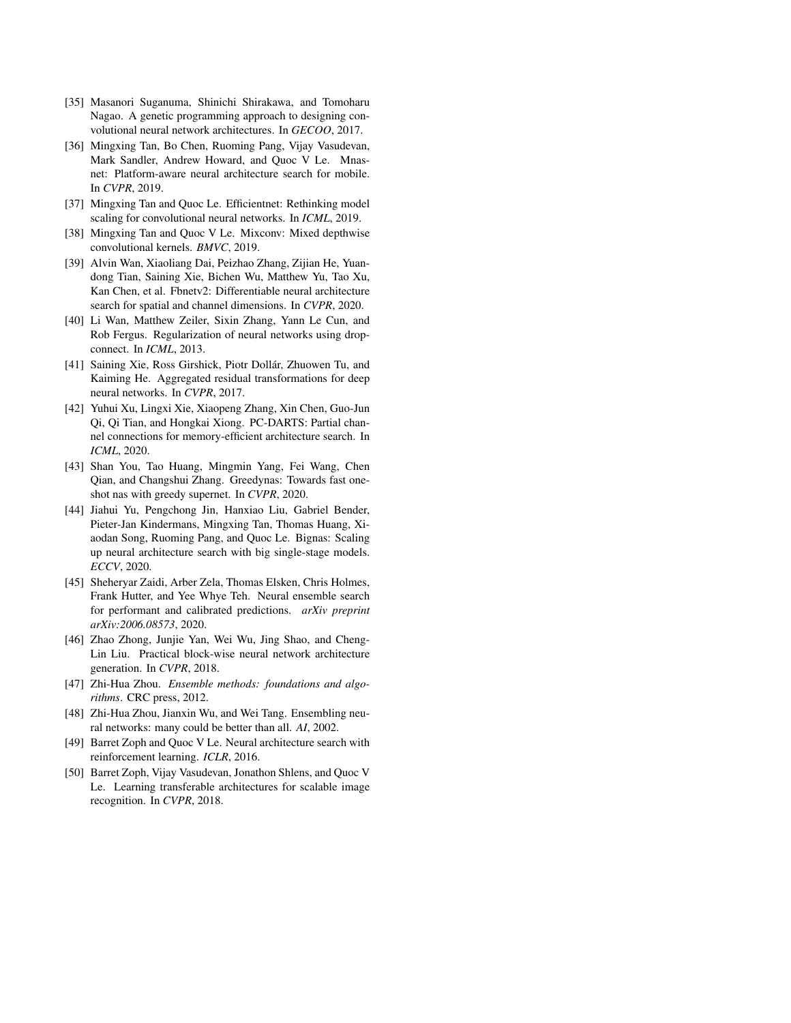- <span id="page-9-6"></span>[35] Masanori Suganuma, Shinichi Shirakawa, and Tomoharu Nagao. A genetic programming approach to designing convolutional neural network architectures. In *GECOO*, 2017.
- <span id="page-9-11"></span>[36] Mingxing Tan, Bo Chen, Ruoming Pang, Vijay Vasudevan, Mark Sandler, Andrew Howard, and Quoc V Le. Mnasnet: Platform-aware neural architecture search for mobile. In *CVPR*, 2019.
- <span id="page-9-3"></span>[37] Mingxing Tan and Quoc Le. Efficientnet: Rethinking model scaling for convolutional neural networks. In *ICML*, 2019.
- <span id="page-9-15"></span>[38] Mingxing Tan and Quoc V Le. Mixconv: Mixed depthwise convolutional kernels. *BMVC*, 2019.
- <span id="page-9-12"></span>[39] Alvin Wan, Xiaoliang Dai, Peizhao Zhang, Zijian He, Yuandong Tian, Saining Xie, Bichen Wu, Matthew Yu, Tao Xu, Kan Chen, et al. Fbnetv2: Differentiable neural architecture search for spatial and channel dimensions. In *CVPR*, 2020.
- <span id="page-9-2"></span>[40] Li Wan, Matthew Zeiler, Sixin Zhang, Yann Le Cun, and Rob Fergus. Regularization of neural networks using dropconnect. In *ICML*, 2013.
- <span id="page-9-0"></span>[41] Saining Xie, Ross Girshick, Piotr Dollár, Zhuowen Tu, and Kaiming He. Aggregated residual transformations for deep neural networks. In *CVPR*, 2017.
- <span id="page-9-7"></span>[42] Yuhui Xu, Lingxi Xie, Xiaopeng Zhang, Xin Chen, Guo-Jun Qi, Qi Tian, and Hongkai Xiong. PC-DARTS: Partial channel connections for memory-efficient architecture search. In *ICML*, 2020.
- <span id="page-9-13"></span>[43] Shan You, Tao Huang, Mingmin Yang, Fei Wang, Chen Qian, and Changshui Zhang. Greedynas: Towards fast oneshot nas with greedy supernet. In *CVPR*, 2020.
- <span id="page-9-14"></span>[44] Jiahui Yu, Pengchong Jin, Hanxiao Liu, Gabriel Bender, Pieter-Jan Kindermans, Mingxing Tan, Thomas Huang, Xiaodan Song, Ruoming Pang, and Quoc Le. Bignas: Scaling up neural architecture search with big single-stage models. *ECCV*, 2020.
- <span id="page-9-8"></span>[45] Sheheryar Zaidi, Arber Zela, Thomas Elsken, Chris Holmes, Frank Hutter, and Yee Whye Teh. Neural ensemble search for performant and calibrated predictions. *arXiv preprint arXiv:2006.08573*, 2020.
- <span id="page-9-5"></span>[46] Zhao Zhong, Junjie Yan, Wei Wu, Jing Shao, and Cheng-Lin Liu. Practical block-wise neural network architecture generation. In *CVPR*, 2018.
- <span id="page-9-9"></span>[47] Zhi-Hua Zhou. *Ensemble methods: foundations and algorithms*. CRC press, 2012.
- <span id="page-9-10"></span>[48] Zhi-Hua Zhou, Jianxin Wu, and Wei Tang. Ensembling neural networks: many could be better than all. *AI*, 2002.
- <span id="page-9-1"></span>[49] Barret Zoph and Quoc V Le. Neural architecture search with reinforcement learning. *ICLR*, 2016.
- <span id="page-9-4"></span>[50] Barret Zoph, Vijay Vasudevan, Jonathon Shlens, and Quoc V Le. Learning transferable architectures for scalable image recognition. In *CVPR*, 2018.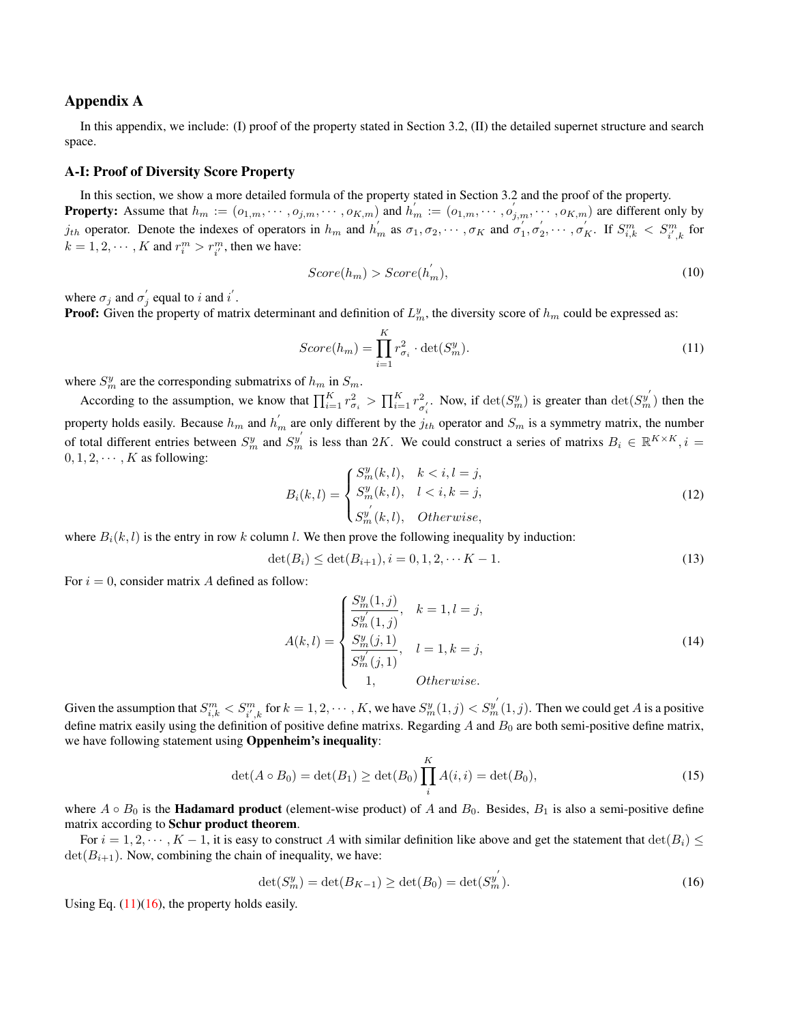# Appendix A

In this appendix, we include: (I) proof of the property stated in Section 3.2, (II) the detailed supernet structure and search space.

# A-I: Proof of Diversity Score Property

In this section, we show a more detailed formula of the property stated in Section 3.2 and the proof of the property. **Property:** Assume that  $h_m := (o_{1,m}, \dots, o_{j,m}, \dots, o_{K,m})$  and  $h'_m := (o_{1,m}, \dots, o'_{j,m}, \dots, o_{K,m})$  are different only by  $j_{th}$  operator. Denote the indexes of operators in  $h_m$  and  $h'_m$  as  $\sigma_1, \sigma_2, \cdots, \sigma_K$  and  $\sigma'_1, \sigma'_2, \cdots, \sigma'_K$ . If  $S_{i,k}^m < S_{i',k}^m$  for  $k = 1, 2, \dots, K$  and  $r_i^m > r_{i'}^m$ , then we have:

$$
Score(h_m) > Score(h_m^{'}),\tag{10}
$$

where  $\sigma_j$  and  $\sigma'_j$  equal to *i* and *i'*.

**Proof:** Given the property of matrix determinant and definition of  $L_m^y$ , the diversity score of  $h_m$  could be expressed as:

<span id="page-10-0"></span>
$$
Score(h_m) = \prod_{i=1}^{K} r_{\sigma_i}^2 \cdot \det(S_m^y). \tag{11}
$$

where  $S_m^y$  are the corresponding submatrixs of  $h_m$  in  $S_m$ .

According to the assumption, we know that  $\prod_{i=1}^{K} r_{\sigma_i}^2 > \prod_{i=1}^{K} r_{\sigma_i}^2$  $\frac{2}{\sigma'_i}$ . Now, if  $\det(S_m^y)$  is greater than  $\det(S_m^{y'})$  then the property holds easily. Because  $h_m$  and  $h'_m$  are only different by the  $j_{th}$  operator and  $S_m$  is a symmetry matrix, the number of total different entries between  $S_m^y$  and  $S_m^{y'}$  is less than 2K. We could construct a series of matrixs  $B_i \in \mathbb{R}^{K \times K}$ ,  $i =$  $0, 1, 2, \cdots, K$  as following:

$$
B_i(k,l) = \begin{cases} S_m^y(k,l), & k < i, l = j, \\ S_m^y(k,l), & l < i, k = j, \\ S_m^{y'}(k,l), & Otherwise, \end{cases}
$$
(12)

where  $B_i(k, l)$  is the entry in row k column l. We then prove the following inequality by induction:

$$
\det(B_i) \le \det(B_{i+1}), i = 0, 1, 2, \cdots K - 1.
$$
\n(13)

For  $i = 0$ , consider matrix A defined as follow:

$$
A(k,l) = \begin{cases} \frac{S_m^y(1,j)}{S_m^{y'}(1,j)}, & k = 1, l = j, \\ \frac{S_m^y(j,1)}{S_m^{y'}(j,1)}, & l = 1, k = j, \\ 1, & Otherwise. \end{cases}
$$
(14)

Given the assumption that  $S_{i,k}^m < S_{i',k}^m$  for  $k = 1,2,\cdots,K$ , we have  $S_m^y(1,j) < S_m^{y'}(1,j)$ . Then we could get A is a positive define matrix easily using the definition of positive define matrixs. Regarding  $A$  and  $B_0$  are both semi-positive define matrix, we have following statement using Oppenheim's inequality:

$$
\det(A \circ B_0) = \det(B_1) \ge \det(B_0) \prod_i^K A(i, i) = \det(B_0),
$$
\n(15)

where  $A \circ B_0$  is the **Hadamard product** (element-wise product) of A and  $B_0$ . Besides,  $B_1$  is also a semi-positive define matrix according to Schur product theorem.

For  $i = 1, 2, \dots, K - 1$ , it is easy to construct A with similar definition like above and get the statement that  $\det(B_i) \leq$  $\det(B_{i+1})$ . Now, combining the chain of inequality, we have:

<span id="page-10-1"></span>
$$
\det(S_m^y) = \det(B_{K-1}) \ge \det(B_0) = \det(S_m^y). \tag{16}
$$

 $\overline{ }$ 

Using Eq.  $(11)(16)$  $(11)(16)$ , the property holds easily.